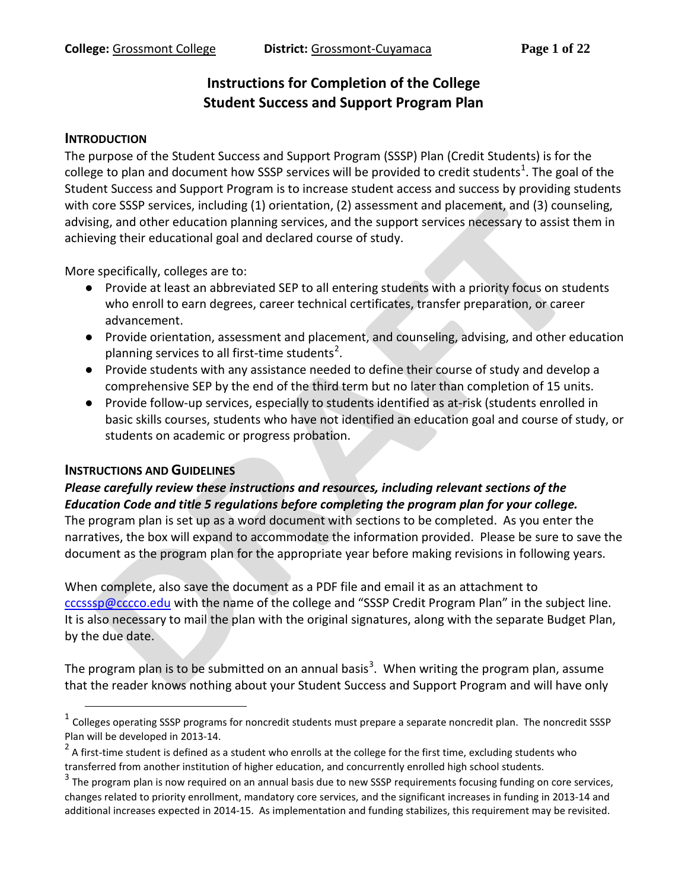# **Instructions for Completion of the College Student Success and Support Program Plan**

#### **INTRODUCTION**

The purpose of the Student Success and Support Program (SSSP) Plan (Credit Students) is for the college to plan and document how SSSP services will be provided to credit students<sup>[1](#page-0-0)</sup>. The goal of the Student Success and Support Program is to increase student access and success by providing students with core SSSP services, including (1) orientation, (2) assessment and placement, and (3) counseling, advising, and other education planning services, and the support services necessary to assist them in achieving their educational goal and declared course of study.

More specifically, colleges are to:

- Provide at least an abbreviated SEP to all entering students with a priority focus on students who enroll to earn degrees, career technical certificates, transfer preparation, or career advancement.
- Provide orientation, assessment and placement, and counseling, advising, and other education planning services to all first-time students<sup>[2](#page-0-1)</sup>.
- Provide students with any assistance needed to define their course of study and develop a comprehensive SEP by the end of the third term but no later than completion of 15 units.
- Provide follow-up services, especially to students identified as at-risk (students enrolled in basic skills courses, students who have not identified an education goal and course of study, or students on academic or progress probation.

#### **INSTRUCTIONS AND GUIDELINES**

#### *Please carefully review these instructions and resources, including relevant sections of the Education Code and title 5 regulations before completing the program plan for your college.*

The program plan is set up as a word document with sections to be completed. As you enter the narratives, the box will expand to accommodate the information provided. Please be sure to save the document as the program plan for the appropriate year before making revisions in following years.

When complete, also save the document as a PDF file and email it as an attachment to [cccsssp@cccco.edu](mailto:cccsssp@cccco.edu) with the name of the college and "SSSP Credit Program Plan" in the subject line. It is also necessary to mail the plan with the original signatures, along with the separate Budget Plan, by the due date.

The program plan is to be submitted on an annual basis<sup>[3](#page-0-2)</sup>. When writing the program plan, assume that the reader knows nothing about your Student Success and Support Program and will have only

<span id="page-0-0"></span> $1$  Colleges operating SSSP programs for noncredit students must prepare a separate noncredit plan. The noncredit SSSP Plan will be developed in 2013-14.

<span id="page-0-1"></span><sup>&</sup>lt;sup>2</sup> A first-time student is defined as a student who enrolls at the college for the first time, excluding students who transferred from another institution of higher education, and concurrently enrolled high school students.

<span id="page-0-2"></span> $3$  The program plan is now required on an annual basis due to new SSSP requirements focusing funding on core services, changes related to priority enrollment, mandatory core services, and the significant increases in funding in 2013-14 and additional increases expected in 2014-15. As implementation and funding stabilizes, this requirement may be revisited.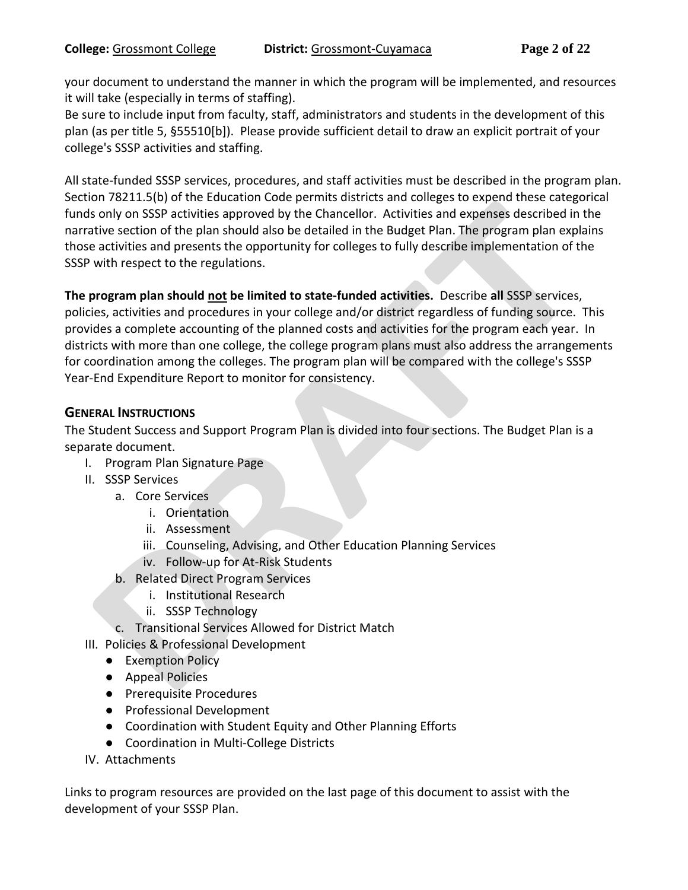your document to understand the manner in which the program will be implemented, and resources it will take (especially in terms of staffing).

Be sure to include input from faculty, staff, administrators and students in the development of this plan (as per title 5, §55510[b]). Please provide sufficient detail to draw an explicit portrait of your college's SSSP activities and staffing.

All state-funded SSSP services, procedures, and staff activities must be described in the program plan. Section 78211.5(b) of the Education Code permits districts and colleges to expend these categorical funds only on SSSP activities approved by the Chancellor. Activities and expenses described in the narrative section of the plan should also be detailed in the Budget Plan. The program plan explains those activities and presents the opportunity for colleges to fully describe implementation of the SSSP with respect to the regulations.

**The program plan should not be limited to state-funded activities.** Describe **all** SSSP services, policies, activities and procedures in your college and/or district regardless of funding source. This provides a complete accounting of the planned costs and activities for the program each year. In districts with more than one college, the college program plans must also address the arrangements for coordination among the colleges. The program plan will be compared with the college's SSSP Year-End Expenditure Report to monitor for consistency.

## **GENERAL INSTRUCTIONS**

The Student Success and Support Program Plan is divided into four sections. The Budget Plan is a separate document.

- I. Program Plan Signature Page
- II. SSSP Services
	- a. Core Services
		- i. Orientation
		- ii. Assessment
		- iii. Counseling, Advising, and Other Education Planning Services
		- iv. Follow-up for At-Risk Students
	- b. Related Direct Program Services
		- i. Institutional Research
		- ii. SSSP Technology
	- c. Transitional Services Allowed for District Match
- III. Policies & Professional Development
	- Exemption Policy
	- Appeal Policies
	- Prerequisite Procedures
	- Professional Development
	- Coordination with Student Equity and Other Planning Efforts
	- Coordination in Multi-College Districts
- IV. Attachments

Links to program resources are provided on the last page of this document to assist with the development of your SSSP Plan.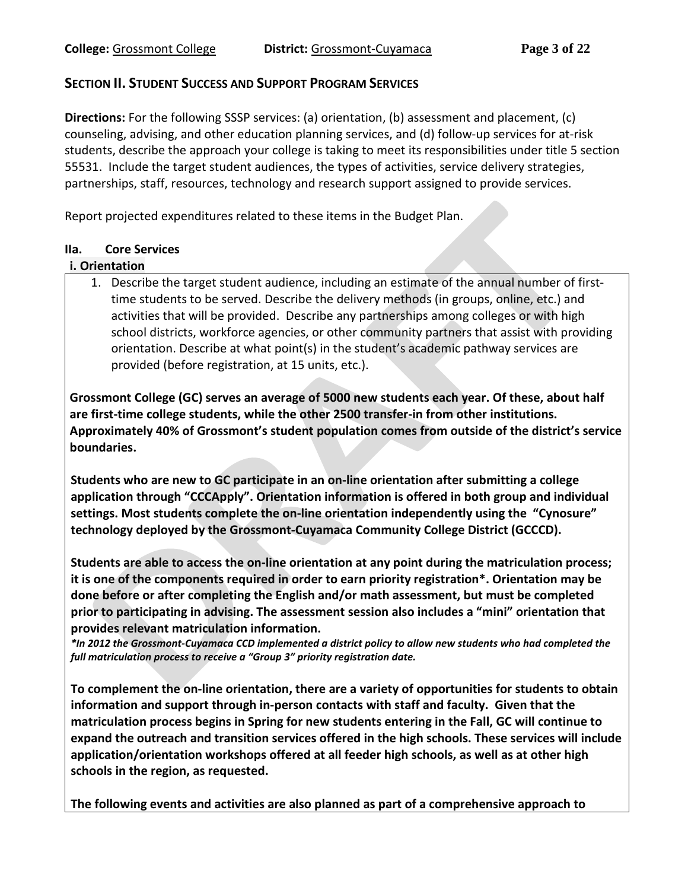### **SECTION II. STUDENT SUCCESS AND SUPPORT PROGRAM SERVICES**

**Directions:** For the following SSSP services: (a) orientation, (b) assessment and placement, (c) counseling, advising, and other education planning services, and (d) follow-up services for at-risk students, describe the approach your college is taking to meet its responsibilities under title 5 section 55531. Include the target student audiences, the types of activities, service delivery strategies, partnerships, staff, resources, technology and research support assigned to provide services.

Report projected expenditures related to these items in the Budget Plan.

### **IIa. Core Services**

#### **i. Orientation**

1. Describe the target student audience, including an estimate of the annual number of firsttime students to be served. Describe the delivery methods (in groups, online, etc.) and activities that will be provided. Describe any partnerships among colleges or with high school districts, workforce agencies, or other community partners that assist with providing orientation. Describe at what point(s) in the student's academic pathway services are provided (before registration, at 15 units, etc.).

**Grossmont College (GC) serves an average of 5000 new students each year. Of these, about half are first-time college students, while the other 2500 transfer-in from other institutions. Approximately 40% of Grossmont's student population comes from outside of the district's service boundaries.** 

**Students who are new to GC participate in an on-line orientation after submitting a college application through "CCCApply". Orientation information is offered in both group and individual settings. Most students complete the on-line orientation independently using the "Cynosure" technology deployed by the Grossmont-Cuyamaca Community College District (GCCCD).** 

**Students are able to access the on-line orientation at any point during the matriculation process; it is one of the components required in order to earn priority registration\*. Orientation may be done before or after completing the English and/or math assessment, but must be completed prior to participating in advising. The assessment session also includes a "mini" orientation that provides relevant matriculation information.**

*\*In 2012 the Grossmont-Cuyamaca CCD implemented a district policy to allow new students who had completed the full matriculation process to receive a "Group 3" priority registration date.* 

**To complement the on-line orientation, there are a variety of opportunities for students to obtain information and support through in-person contacts with staff and faculty. Given that the matriculation process begins in Spring for new students entering in the Fall, GC will continue to expand the outreach and transition services offered in the high schools. These services will include application/orientation workshops offered at all feeder high schools, as well as at other high schools in the region, as requested.** 

**The following events and activities are also planned as part of a comprehensive approach to**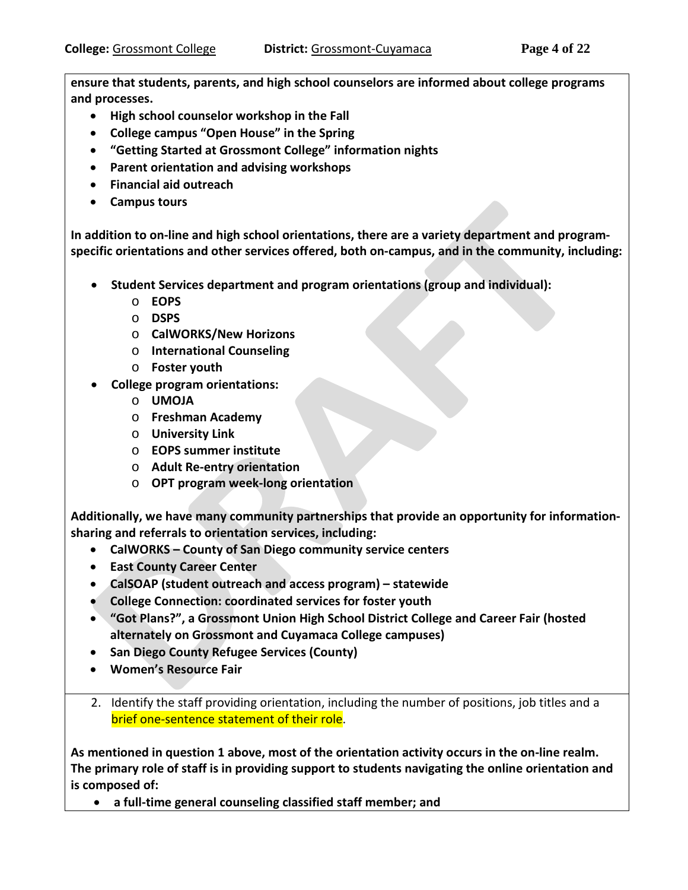**ensure that students, parents, and high school counselors are informed about college programs and processes.** 

- **High school counselor workshop in the Fall**
- **College campus "Open House" in the Spring**
- **"Getting Started at Grossmont College" information nights**
- **Parent orientation and advising workshops**
- **Financial aid outreach**
- **Campus tours**

**In addition to on-line and high school orientations, there are a variety department and programspecific orientations and other services offered, both on-campus, and in the community, including:**

- **Student Services department and program orientations (group and individual):**
	- o **EOPS**
	- o **DSPS**
	- o **CalWORKS/New Horizons**
	- o **International Counseling**
	- o **Foster youth**
- **College program orientations:**
	- o **UMOJA**
	- o **Freshman Academy**
	- o **University Link**
	- o **EOPS summer institute**
	- o **Adult Re-entry orientation**
	- o **OPT program week-long orientation**

**Additionally, we have many community partnerships that provide an opportunity for informationsharing and referrals to orientation services, including:**

- **CalWORKS – County of San Diego community service centers**
- **East County Career Center**
- **CalSOAP (student outreach and access program) – statewide**
- **College Connection: coordinated services for foster youth**
- **"Got Plans?", a Grossmont Union High School District College and Career Fair (hosted alternately on Grossmont and Cuyamaca College campuses)**
- **San Diego County Refugee Services (County)**
- **Women's Resource Fair**
- 2. Identify the staff providing orientation, including the number of positions, job titles and a brief one-sentence statement of their role.

**As mentioned in question 1 above, most of the orientation activity occurs in the on-line realm. The primary role of staff is in providing support to students navigating the online orientation and is composed of:**

• **a full-time general counseling classified staff member; and**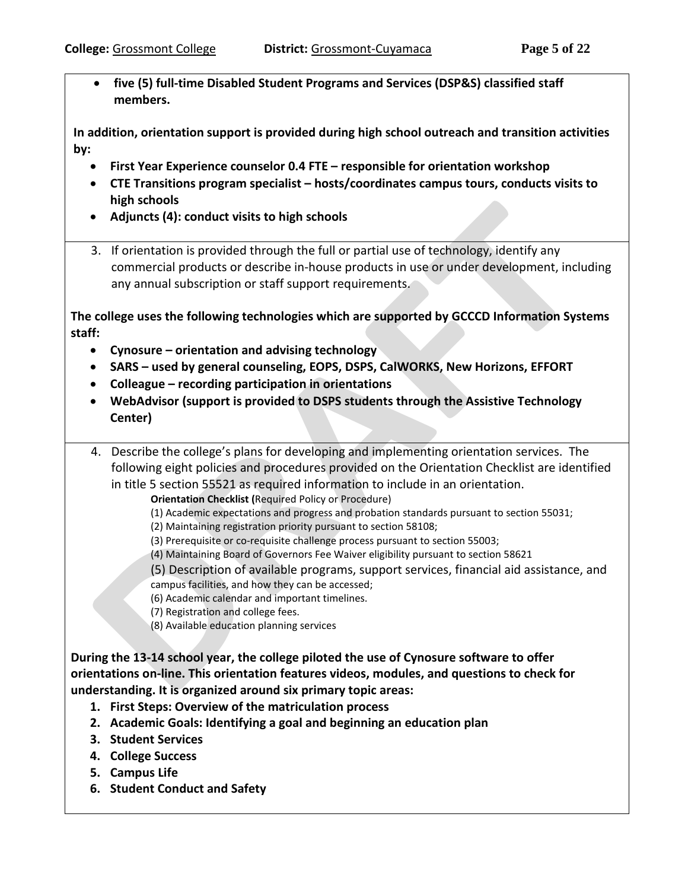• **five (5) full-time Disabled Student Programs and Services (DSP&S) classified staff members.**

**In addition, orientation support is provided during high school outreach and transition activities by:**

- **First Year Experience counselor 0.4 FTE – responsible for orientation workshop**
- **CTE Transitions program specialist – hosts/coordinates campus tours, conducts visits to high schools**
- **Adjuncts (4): conduct visits to high schools**
- 3. If orientation is provided through the full or partial use of technology, identify any commercial products or describe in-house products in use or under development, including any annual subscription or staff support requirements.

**The college uses the following technologies which are supported by GCCCD Information Systems staff:**

- **Cynosure – orientation and advising technology**
- **SARS – used by general counseling, EOPS, DSPS, CalWORKS, New Horizons, EFFORT**
- **Colleague – recording participation in orientations**
- **WebAdvisor (support is provided to DSPS students through the Assistive Technology Center)**
- 4. Describe the college's plans for developing and implementing orientation services. The following eight policies and procedures provided on the Orientation Checklist are identified in title 5 section 55521 as required information to include in an orientation.

**Orientation Checklist (**Required Policy or Procedure)

- (1) Academic expectations and progress and probation standards pursuant to section 55031;
- (2) Maintaining registration priority pursuant to section 58108;
- (3) Prerequisite or co-requisite challenge process pursuant to section 55003;
- (4) Maintaining Board of Governors Fee Waiver eligibility pursuant to section 58621
- (5) Description of available programs, support services, financial aid assistance, and campus facilities, and how they can be accessed;
- (6) Academic calendar and important timelines.
- (7) Registration and college fees.
- (8) Available education planning services

**During the 13-14 school year, the college piloted the use of Cynosure software to offer orientations on-line. This orientation features videos, modules, and questions to check for understanding. It is organized around six primary topic areas:**

- **1. First Steps: Overview of the matriculation process**
- **2. Academic Goals: Identifying a goal and beginning an education plan**
- **3. Student Services**
- **4. College Success**
- **5. Campus Life**
- **6. Student Conduct and Safety**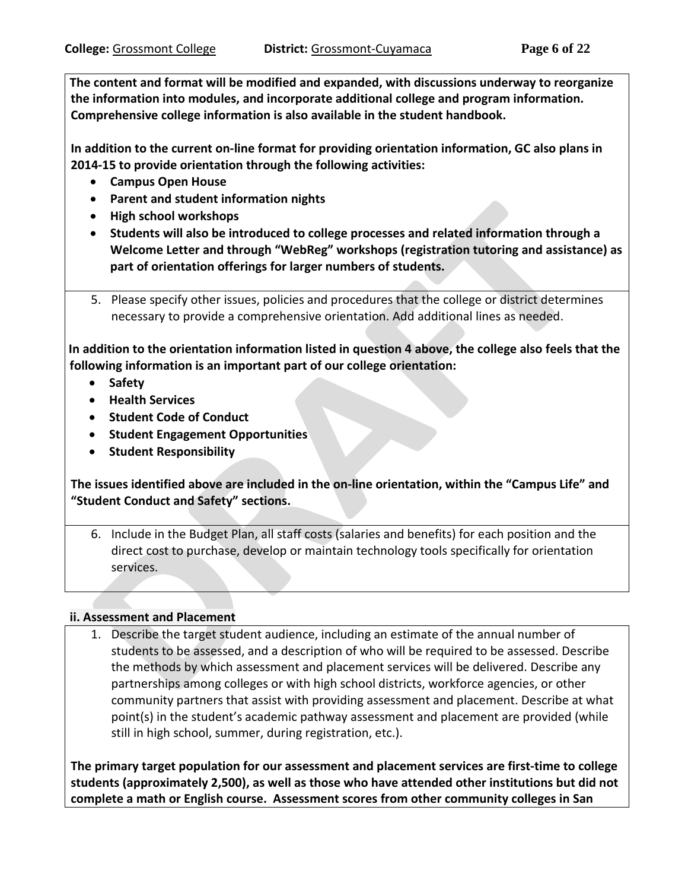**The content and format will be modified and expanded, with discussions underway to reorganize the information into modules, and incorporate additional college and program information. Comprehensive college information is also available in the student handbook.** 

**In addition to the current on-line format for providing orientation information, GC also plans in 2014-15 to provide orientation through the following activities:** 

- **Campus Open House**
- **Parent and student information nights**
- **High school workshops**
- **Students will also be introduced to college processes and related information through a Welcome Letter and through "WebReg" workshops (registration tutoring and assistance) as part of orientation offerings for larger numbers of students.**
- 5. Please specify other issues, policies and procedures that the college or district determines necessary to provide a comprehensive orientation. Add additional lines as needed.

**In addition to the orientation information listed in question 4 above, the college also feels that the following information is an important part of our college orientation:**

- **Safety**
- **Health Services**
- **Student Code of Conduct**
- **Student Engagement Opportunities**
- **Student Responsibility**

**The issues identified above are included in the on-line orientation, within the "Campus Life" and "Student Conduct and Safety" sections.** 

6. Include in the Budget Plan, all staff costs (salaries and benefits) for each position and the direct cost to purchase, develop or maintain technology tools specifically for orientation services.

### **ii. Assessment and Placement**

1. Describe the target student audience, including an estimate of the annual number of students to be assessed, and a description of who will be required to be assessed. Describe the methods by which assessment and placement services will be delivered. Describe any partnerships among colleges or with high school districts, workforce agencies, or other community partners that assist with providing assessment and placement. Describe at what point(s) in the student's academic pathway assessment and placement are provided (while still in high school, summer, during registration, etc.).

**The primary target population for our assessment and placement services are first-time to college students (approximately 2,500), as well as those who have attended other institutions but did not complete a math or English course. Assessment scores from other community colleges in San**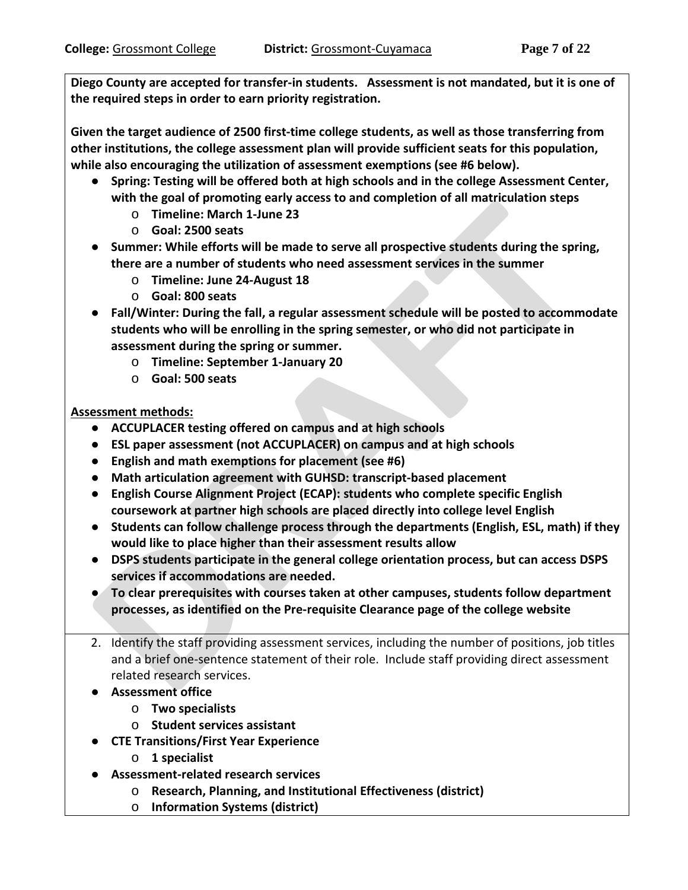**Diego County are accepted for transfer-in students. Assessment is not mandated, but it is one of the required steps in order to earn priority registration.** 

**Given the target audience of 2500 first-time college students, as well as those transferring from other institutions, the college assessment plan will provide sufficient seats for this population, while also encouraging the utilization of assessment exemptions (see #6 below).** 

- **Spring: Testing will be offered both at high schools and in the college Assessment Center, with the goal of promoting early access to and completion of all matriculation steps**
	- o **Timeline: March 1-June 23**
	- o **Goal: 2500 seats**
- **Summer: While efforts will be made to serve all prospective students during the spring, there are a number of students who need assessment services in the summer**
	- o **Timeline: June 24-August 18**
	- o **Goal: 800 seats**
- **Fall/Winter: During the fall, a regular assessment schedule will be posted to accommodate students who will be enrolling in the spring semester, or who did not participate in assessment during the spring or summer.** 
	- o **Timeline: September 1-January 20**
	- o **Goal: 500 seats**

**Assessment methods:**

- **ACCUPLACER testing offered on campus and at high schools**
- **ESL paper assessment (not ACCUPLACER) on campus and at high schools**
- **English and math exemptions for placement (see #6)**
- **Math articulation agreement with GUHSD: transcript-based placement**
- **English Course Alignment Project (ECAP): students who complete specific English coursework at partner high schools are placed directly into college level English**
- **Students can follow challenge process through the departments (English, ESL, math) if they would like to place higher than their assessment results allow**
- **DSPS students participate in the general college orientation process, but can access DSPS services if accommodations are needed.**
- **To clear prerequisites with courses taken at other campuses, students follow department processes, as identified on the Pre-requisite Clearance page of the college website**
- 2. Identify the staff providing assessment services, including the number of positions, job titles and a brief one-sentence statement of their role. Include staff providing direct assessment related research services.
- **Assessment office**
	- o **Two specialists**
	- o **Student services assistant**
- **CTE Transitions/First Year Experience** 
	- o **1 specialist**
- **Assessment-related research services**
	- o **Research, Planning, and Institutional Effectiveness (district)**
	- o **Information Systems (district)**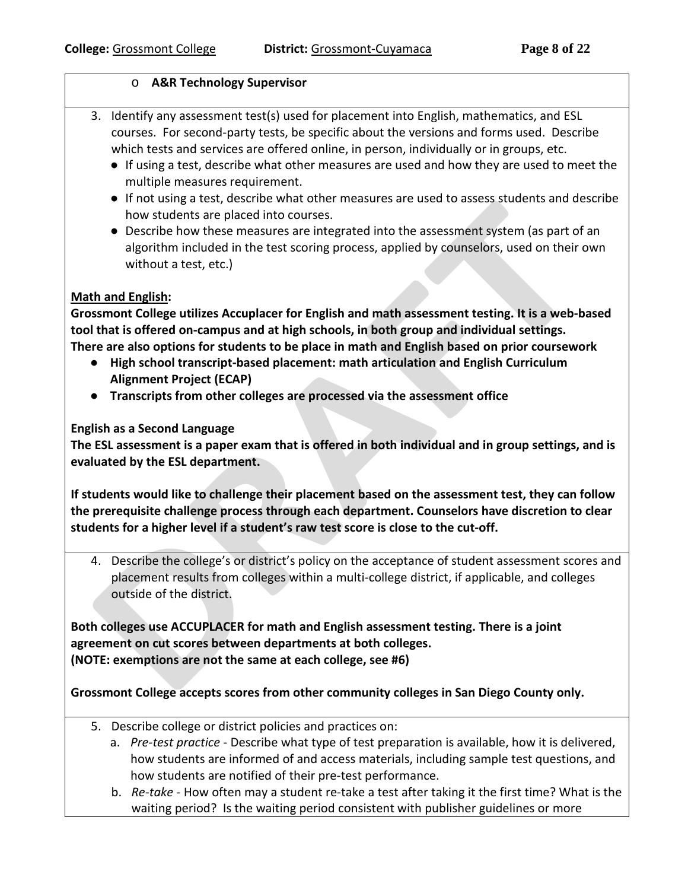### o **A&R Technology Supervisor**

- 3. Identify any assessment test(s) used for placement into English, mathematics, and ESL courses. For second-party tests, be specific about the versions and forms used. Describe which tests and services are offered online, in person, individually or in groups, etc.
	- If using a test, describe what other measures are used and how they are used to meet the multiple measures requirement.
	- If not using a test, describe what other measures are used to assess students and describe how students are placed into courses.
	- Describe how these measures are integrated into the assessment system (as part of an algorithm included in the test scoring process, applied by counselors, used on their own without a test, etc.)

### **Math and English:**

**Grossmont College utilizes Accuplacer for English and math assessment testing. It is a web-based tool that is offered on-campus and at high schools, in both group and individual settings. There are also options for students to be place in math and English based on prior coursework** 

- **High school transcript-based placement: math articulation and English Curriculum Alignment Project (ECAP)**
- **Transcripts from other colleges are processed via the assessment office**

### **English as a Second Language**

**The ESL assessment is a paper exam that is offered in both individual and in group settings, and is evaluated by the ESL department.** 

**If students would like to challenge their placement based on the assessment test, they can follow the prerequisite challenge process through each department. Counselors have discretion to clear students for a higher level if a student's raw test score is close to the cut-off.**

4. Describe the college's or district's policy on the acceptance of student assessment scores and placement results from colleges within a multi-college district, if applicable, and colleges outside of the district.

**Both colleges use ACCUPLACER for math and English assessment testing. There is a joint agreement on cut scores between departments at both colleges. (NOTE: exemptions are not the same at each college, see #6)**

**Grossmont College accepts scores from other community colleges in San Diego County only.**

- 5. Describe college or district policies and practices on:
	- a. *Pre-test practice* Describe what type of test preparation is available, how it is delivered, how students are informed of and access materials, including sample test questions, and how students are notified of their pre-test performance.
	- b. *Re-take* How often may a student re-take a test after taking it the first time? What is the waiting period? Is the waiting period consistent with publisher guidelines or more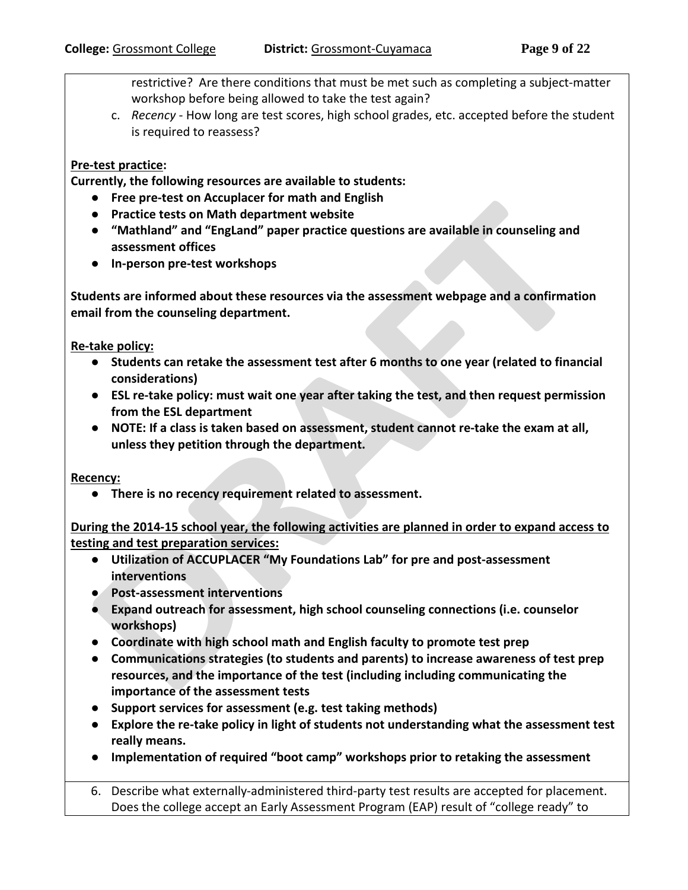restrictive? Are there conditions that must be met such as completing a subject-matter workshop before being allowed to take the test again?

c. *Recency* - How long are test scores, high school grades, etc. accepted before the student is required to reassess?

#### **Pre-test practice:**

**Currently, the following resources are available to students:**

- **Free pre-test on Accuplacer for math and English**
- **Practice tests on Math department website**
- **"Mathland" and "EngLand" paper practice questions are available in counseling and assessment offices**
- **In-person pre-test workshops**

**Students are informed about these resources via the assessment webpage and a confirmation email from the counseling department.** 

**Re-take policy:** 

- **Students can retake the assessment test after 6 months to one year (related to financial considerations)**
- **ESL re-take policy: must wait one year after taking the test, and then request permission from the ESL department**
- **NOTE: If a class is taken based on assessment, student cannot re-take the exam at all, unless they petition through the department.**

**Recency:**

● **There is no recency requirement related to assessment.**

**During the 2014-15 school year, the following activities are planned in order to expand access to testing and test preparation services:** 

- **Utilization of ACCUPLACER "My Foundations Lab" for pre and post-assessment interventions**
- **Post-assessment interventions**
- **Expand outreach for assessment, high school counseling connections (i.e. counselor workshops)**
- **Coordinate with high school math and English faculty to promote test prep**
- **Communications strategies (to students and parents) to increase awareness of test prep resources, and the importance of the test (including including communicating the importance of the assessment tests**
- **Support services for assessment (e.g. test taking methods)**
- **Explore the re-take policy in light of students not understanding what the assessment test really means.**
- **Implementation of required "boot camp" workshops prior to retaking the assessment**

6. Describe what externally-administered third-party test results are accepted for placement. Does the college accept an Early Assessment Program (EAP) result of "college ready" to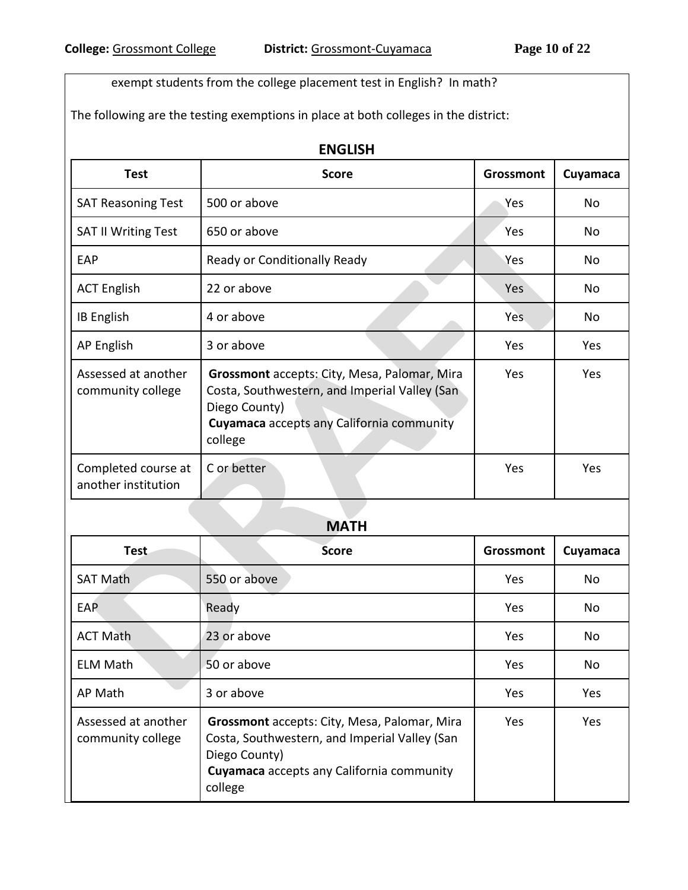exempt students from the college placement test in English? In math?

The following are the testing exemptions in place at both colleges in the district:

| <b>Test</b>                                | <b>ENGLISH</b><br><b>Score</b>                                                                                                                                         | <b>Grossmont</b> | Cuyamaca  |
|--------------------------------------------|------------------------------------------------------------------------------------------------------------------------------------------------------------------------|------------------|-----------|
| <b>SAT Reasoning Test</b>                  | 500 or above                                                                                                                                                           | Yes              | <b>No</b> |
| <b>SAT II Writing Test</b>                 | 650 or above                                                                                                                                                           | Yes              | No        |
| EAP                                        | Ready or Conditionally Ready                                                                                                                                           | Yes              | <b>No</b> |
| <b>ACT English</b>                         | 22 or above                                                                                                                                                            | <b>Yes</b>       | No        |
| IB English                                 | 4 or above                                                                                                                                                             | Yes.             | No        |
| AP English                                 | 3 or above                                                                                                                                                             | Yes              | Yes       |
| Assessed at another<br>community college   | Grossmont accepts: City, Mesa, Palomar, Mira<br>Costa, Southwestern, and Imperial Valley (San<br>Diego County)<br>Cuyamaca accepts any California community<br>college | Yes              | Yes       |
| Completed course at<br>another institution | C or better                                                                                                                                                            | Yes              | Yes       |

## **MATH**

| <b>Test</b>                              | <b>Score</b>                                                                                                                                                           | Grossmont | Cuyamaca   |
|------------------------------------------|------------------------------------------------------------------------------------------------------------------------------------------------------------------------|-----------|------------|
| <b>SAT Math</b>                          | 550 or above                                                                                                                                                           | Yes       | <b>No</b>  |
| <b>EAP</b>                               | Ready                                                                                                                                                                  | Yes       | No         |
| <b>ACT Math</b>                          | 23 or above                                                                                                                                                            | Yes       | <b>No</b>  |
| <b>ELM Math</b>                          | 50 or above                                                                                                                                                            | Yes       | No         |
| AP Math                                  | 3 or above                                                                                                                                                             | Yes       | <b>Yes</b> |
| Assessed at another<br>community college | Grossmont accepts: City, Mesa, Palomar, Mira<br>Costa, Southwestern, and Imperial Valley (San<br>Diego County)<br>Cuyamaca accepts any California community<br>college | Yes.      | Yes        |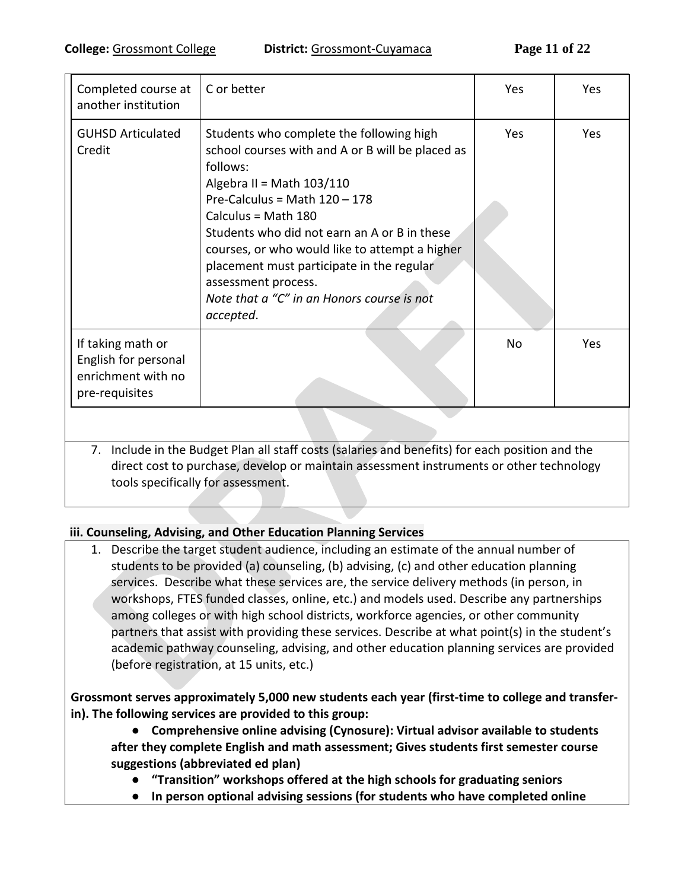| Completed course at<br>another institution                                                                                                                                                                                       | C or better                                                                                                                                                                                                                                                                                                                                                                                                                      | Yes            | <b>Yes</b> |  |  |
|----------------------------------------------------------------------------------------------------------------------------------------------------------------------------------------------------------------------------------|----------------------------------------------------------------------------------------------------------------------------------------------------------------------------------------------------------------------------------------------------------------------------------------------------------------------------------------------------------------------------------------------------------------------------------|----------------|------------|--|--|
| <b>GUHSD Articulated</b><br>Credit                                                                                                                                                                                               | Students who complete the following high<br>school courses with and A or B will be placed as<br>follows:<br>Algebra II = Math 103/110<br>Pre-Calculus = Math $120 - 178$<br>Calculus = Math 180<br>Students who did not earn an A or B in these<br>courses, or who would like to attempt a higher<br>placement must participate in the regular<br>assessment process.<br>Note that a "C" in an Honors course is not<br>accepted. | Yes            | Yes        |  |  |
| If taking math or<br>English for personal<br>enrichment with no<br>pre-requisites                                                                                                                                                |                                                                                                                                                                                                                                                                                                                                                                                                                                  | N <sub>o</sub> | <b>Yes</b> |  |  |
|                                                                                                                                                                                                                                  |                                                                                                                                                                                                                                                                                                                                                                                                                                  |                |            |  |  |
| 7. Include in the Budget Plan all staff costs (salaries and benefits) for each position and the<br>direct cost to purchase, develop or maintain assessment instruments or other technology<br>tools specifically for assessment. |                                                                                                                                                                                                                                                                                                                                                                                                                                  |                |            |  |  |

### **iii. Counseling, Advising, and Other Education Planning Services**

1. Describe the target student audience, including an estimate of the annual number of students to be provided (a) counseling, (b) advising, (c) and other education planning services. Describe what these services are, the service delivery methods (in person, in workshops, FTES funded classes, online, etc.) and models used. Describe any partnerships among colleges or with high school districts, workforce agencies, or other community partners that assist with providing these services. Describe at what point(s) in the student's academic pathway counseling, advising, and other education planning services are provided (before registration, at 15 units, etc.)

### **Grossmont serves approximately 5,000 new students each year (first-time to college and transferin). The following services are provided to this group:**

- **Comprehensive online advising (Cynosure): Virtual advisor available to students after they complete English and math assessment; Gives students first semester course suggestions (abbreviated ed plan)**
	- **"Transition" workshops offered at the high schools for graduating seniors**
	- **In person optional advising sessions (for students who have completed online**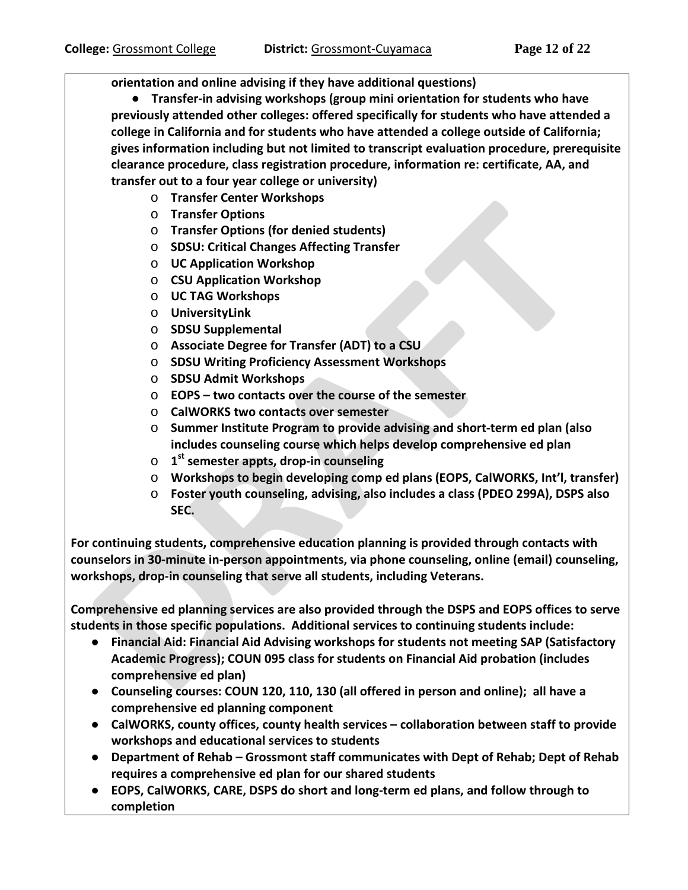**orientation and online advising if they have additional questions)**

● **Transfer-in advising workshops (group mini orientation for students who have previously attended other colleges: offered specifically for students who have attended a college in California and for students who have attended a college outside of California; gives information including but not limited to transcript evaluation procedure, prerequisite clearance procedure, class registration procedure, information re: certificate, AA, and transfer out to a four year college or university)**

- o **Transfer Center Workshops**
- o **Transfer Options**
- o **Transfer Options (for denied students)**
- o **SDSU: Critical Changes Affecting Transfer**
- o **UC Application Workshop**
- o **CSU Application Workshop**
- o **UC TAG Workshops**
- o **UniversityLink**
- o **SDSU Supplemental**
- o **Associate Degree for Transfer (ADT) to a CSU**
- o **SDSU Writing Proficiency Assessment Workshops**
- o **SDSU Admit Workshops**
- o **EOPS – two contacts over the course of the semester**
- o **CalWORKS two contacts over semester**
- o **Summer Institute Program to provide advising and short-term ed plan (also includes counseling course which helps develop comprehensive ed plan**
- o **1st semester appts, drop-in counseling**
- o **Workshops to begin developing comp ed plans (EOPS, CalWORKS, Int'l, transfer)**
- o **Foster youth counseling, advising, also includes a class (PDEO 299A), DSPS also SEC.**

**For continuing students, comprehensive education planning is provided through contacts with counselors in 30-minute in-person appointments, via phone counseling, online (email) counseling, workshops, drop-in counseling that serve all students, including Veterans.**

**Comprehensive ed planning services are also provided through the DSPS and EOPS offices to serve students in those specific populations. Additional services to continuing students include:**

- **Financial Aid: Financial Aid Advising workshops for students not meeting SAP (Satisfactory Academic Progress); COUN 095 class for students on Financial Aid probation (includes comprehensive ed plan)**
- **Counseling courses: COUN 120, 110, 130 (all offered in person and online); all have a comprehensive ed planning component**
- **CalWORKS, county offices, county health services – collaboration between staff to provide workshops and educational services to students**
- **Department of Rehab – Grossmont staff communicates with Dept of Rehab; Dept of Rehab requires a comprehensive ed plan for our shared students**
- **EOPS, CalWORKS, CARE, DSPS do short and long-term ed plans, and follow through to completion**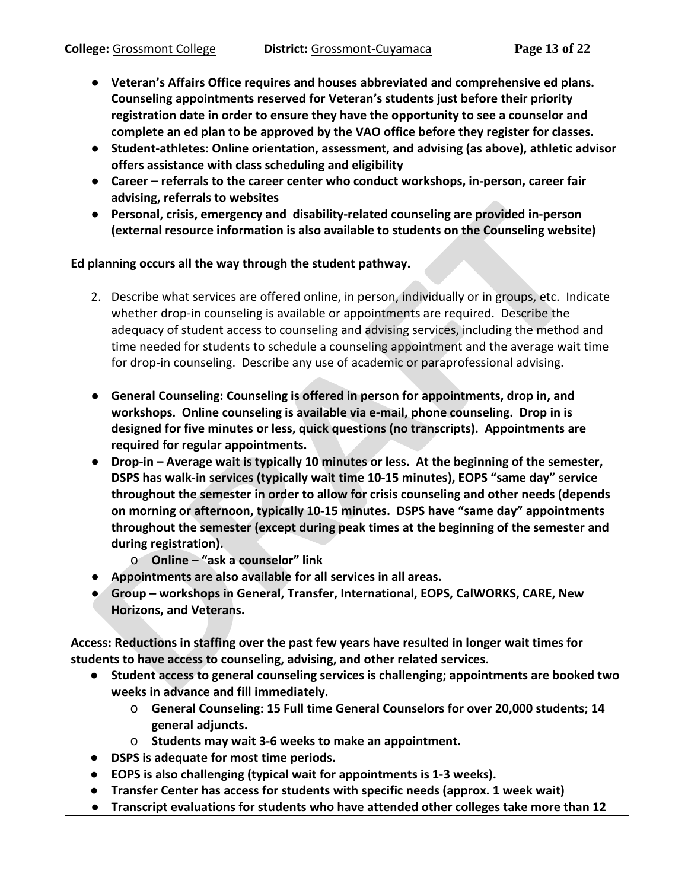- **Veteran's Affairs Office requires and houses abbreviated and comprehensive ed plans. Counseling appointments reserved for Veteran's students just before their priority registration date in order to ensure they have the opportunity to see a counselor and complete an ed plan to be approved by the VAO office before they register for classes.**
- **Student-athletes: Online orientation, assessment, and advising (as above), athletic advisor offers assistance with class scheduling and eligibility**
- **Career – referrals to the career center who conduct workshops, in-person, career fair advising, referrals to websites**
- **Personal, crisis, emergency and disability-related counseling are provided in-person (external resource information is also available to students on the Counseling website)**

**Ed planning occurs all the way through the student pathway.**

- 2. Describe what services are offered online, in person, individually or in groups, etc. Indicate whether drop-in counseling is available or appointments are required. Describe the adequacy of student access to counseling and advising services, including the method and time needed for students to schedule a counseling appointment and the average wait time for drop-in counseling. Describe any use of academic or paraprofessional advising.
- **General Counseling: Counseling is offered in person for appointments, drop in, and workshops. Online counseling is available via e-mail, phone counseling. Drop in is designed for five minutes or less, quick questions (no transcripts). Appointments are required for regular appointments.**
- **Drop-in – Average wait is typically 10 minutes or less. At the beginning of the semester, DSPS has walk-in services (typically wait time 10-15 minutes), EOPS "same day" service throughout the semester in order to allow for crisis counseling and other needs (depends on morning or afternoon, typically 10-15 minutes. DSPS have "same day" appointments throughout the semester (except during peak times at the beginning of the semester and during registration).**
	- o **Online – "ask a counselor" link**
- **Appointments are also available for all services in all areas.**
- **Group – workshops in General, Transfer, International, EOPS, CalWORKS, CARE, New Horizons, and Veterans.**

**Access: Reductions in staffing over the past few years have resulted in longer wait times for students to have access to counseling, advising, and other related services.**

- **Student access to general counseling services is challenging; appointments are booked two weeks in advance and fill immediately.** 
	- o **General Counseling: 15 Full time General Counselors for over 20,000 students; 14 general adjuncts.**
	- o **Students may wait 3-6 weeks to make an appointment.**
- **DSPS is adequate for most time periods.**
- **EOPS is also challenging (typical wait for appointments is 1-3 weeks).**
- **Transfer Center has access for students with specific needs (approx. 1 week wait)**
- **Transcript evaluations for students who have attended other colleges take more than 12**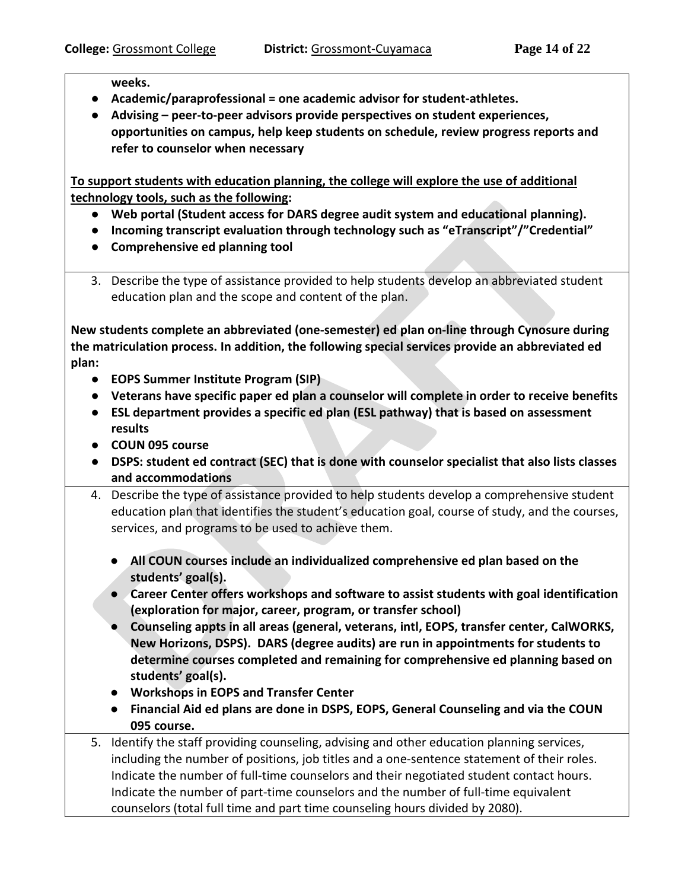**weeks.**

- **Academic/paraprofessional = one academic advisor for student-athletes.**
- **Advising – peer-to-peer advisors provide perspectives on student experiences, opportunities on campus, help keep students on schedule, review progress reports and refer to counselor when necessary**

**To support students with education planning, the college will explore the use of additional technology tools, such as the following:**

- **Web portal (Student access for DARS degree audit system and educational planning).**
- **Incoming transcript evaluation through technology such as "eTranscript"/"Credential"**
- **Comprehensive ed planning tool**
- 3. Describe the type of assistance provided to help students develop an abbreviated student education plan and the scope and content of the plan.

**New students complete an abbreviated (one-semester) ed plan on-line through Cynosure during the matriculation process. In addition, the following special services provide an abbreviated ed plan:**

- **EOPS Summer Institute Program (SIP)**
- **Veterans have specific paper ed plan a counselor will complete in order to receive benefits**
- **ESL department provides a specific ed plan (ESL pathway) that is based on assessment results**
- **COUN 095 course**
- **DSPS: student ed contract (SEC) that is done with counselor specialist that also lists classes and accommodations**
- 4. Describe the type of assistance provided to help students develop a comprehensive student education plan that identifies the student's education goal, course of study, and the courses, services, and programs to be used to achieve them.
	- **All COUN courses include an individualized comprehensive ed plan based on the students' goal(s).**
	- **Career Center offers workshops and software to assist students with goal identification (exploration for major, career, program, or transfer school)**
	- **Counseling appts in all areas (general, veterans, intl, EOPS, transfer center, CalWORKS, New Horizons, DSPS). DARS (degree audits) are run in appointments for students to determine courses completed and remaining for comprehensive ed planning based on students' goal(s).**
	- **Workshops in EOPS and Transfer Center**
	- **Financial Aid ed plans are done in DSPS, EOPS, General Counseling and via the COUN 095 course.**
- 5. Identify the staff providing counseling, advising and other education planning services, including the number of positions, job titles and a one-sentence statement of their roles. Indicate the number of full-time counselors and their negotiated student contact hours. Indicate the number of part-time counselors and the number of full-time equivalent counselors (total full time and part time counseling hours divided by 2080).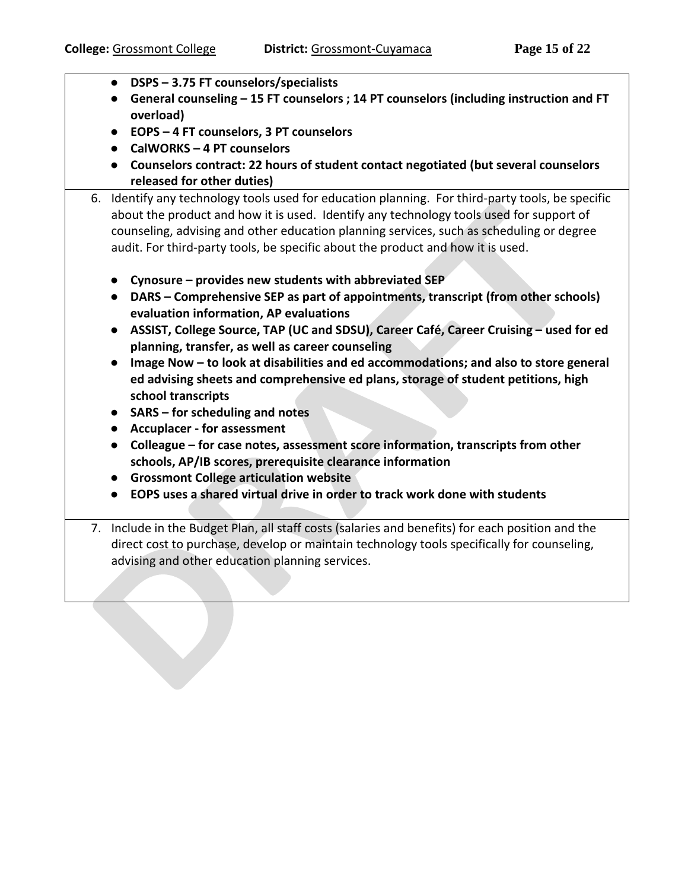- **DSPS – 3.75 FT counselors/specialists**
- **General counseling – 15 FT counselors ; 14 PT counselors (including instruction and FT overload)**
- **EOPS – 4 FT counselors, 3 PT counselors**
- **CalWORKS – 4 PT counselors**
- **Counselors contract: 22 hours of student contact negotiated (but several counselors released for other duties)**
- 6. Identify any technology tools used for education planning. For third-party tools, be specific about the product and how it is used. Identify any technology tools used for support of counseling, advising and other education planning services, such as scheduling or degree audit. For third-party tools, be specific about the product and how it is used.
	- **Cynosure – provides new students with abbreviated SEP**
	- **DARS – Comprehensive SEP as part of appointments, transcript (from other schools) evaluation information, AP evaluations**
	- **ASSIST, College Source, TAP (UC and SDSU), Career Café, Career Cruising – used for ed planning, transfer, as well as career counseling**
	- **Image Now – to look at disabilities and ed accommodations; and also to store general ed advising sheets and comprehensive ed plans, storage of student petitions, high school transcripts**
	- **SARS – for scheduling and notes**
	- **Accuplacer - for assessment**
	- **Colleague – for case notes, assessment score information, transcripts from other schools, AP/IB scores, prerequisite clearance information**
	- **Grossmont College articulation website**
	- **EOPS uses a shared virtual drive in order to track work done with students**
- 7. Include in the Budget Plan, all staff costs (salaries and benefits) for each position and the direct cost to purchase, develop or maintain technology tools specifically for counseling, advising and other education planning services.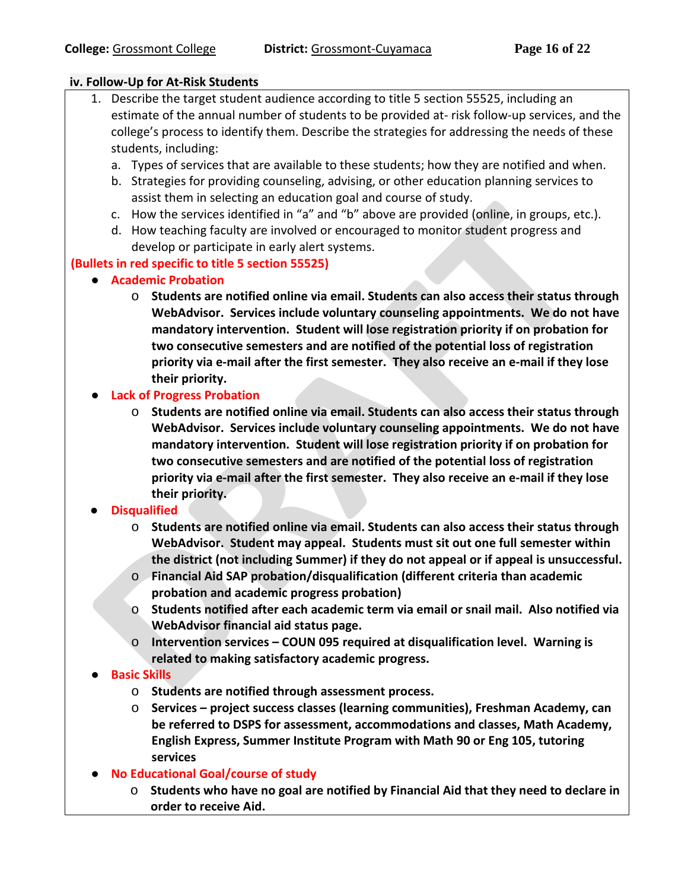#### **iv. Follow-Up for At-Risk Students**

- 1. Describe the target student audience according to title 5 section 55525, including an estimate of the annual number of students to be provided at- risk follow-up services, and the college's process to identify them. Describe the strategies for addressing the needs of these students, including:
	- a. Types of services that are available to these students; how they are notified and when.
	- b. Strategies for providing counseling, advising, or other education planning services to assist them in selecting an education goal and course of study.
	- c. How the services identified in "a" and "b" above are provided (online, in groups, etc.).
	- d. How teaching faculty are involved or encouraged to monitor student progress and develop or participate in early alert systems.

### **(Bullets in red specific to title 5 section 55525)**

- **Academic Probation**
	- o **Students are notified online via email. Students can also access their status through WebAdvisor. Services include voluntary counseling appointments. We do not have mandatory intervention. Student will lose registration priority if on probation for two consecutive semesters and are notified of the potential loss of registration priority via e-mail after the first semester. They also receive an e-mail if they lose their priority.**

### ● **Lack of Progress Probation**

o **Students are notified online via email. Students can also access their status through WebAdvisor. Services include voluntary counseling appointments. We do not have mandatory intervention. Student will lose registration priority if on probation for two consecutive semesters and are notified of the potential loss of registration priority via e-mail after the first semester. They also receive an e-mail if they lose their priority.**

### ● **Disqualified**

- o **Students are notified online via email. Students can also access their status through WebAdvisor. Student may appeal. Students must sit out one full semester within the district (not including Summer) if they do not appeal or if appeal is unsuccessful.**
- o **Financial Aid SAP probation/disqualification (different criteria than academic probation and academic progress probation)**
- o **Students notified after each academic term via email or snail mail. Also notified via WebAdvisor financial aid status page.**
- o **Intervention services – COUN 095 required at disqualification level. Warning is related to making satisfactory academic progress.**

### ● **Basic Skills**

- o **Students are notified through assessment process.**
- o **Services – project success classes (learning communities), Freshman Academy, can be referred to DSPS for assessment, accommodations and classes, Math Academy, English Express, Summer Institute Program with Math 90 or Eng 105, tutoring services**
- **No Educational Goal/course of study**
	- o **Students who have no goal are notified by Financial Aid that they need to declare in order to receive Aid.**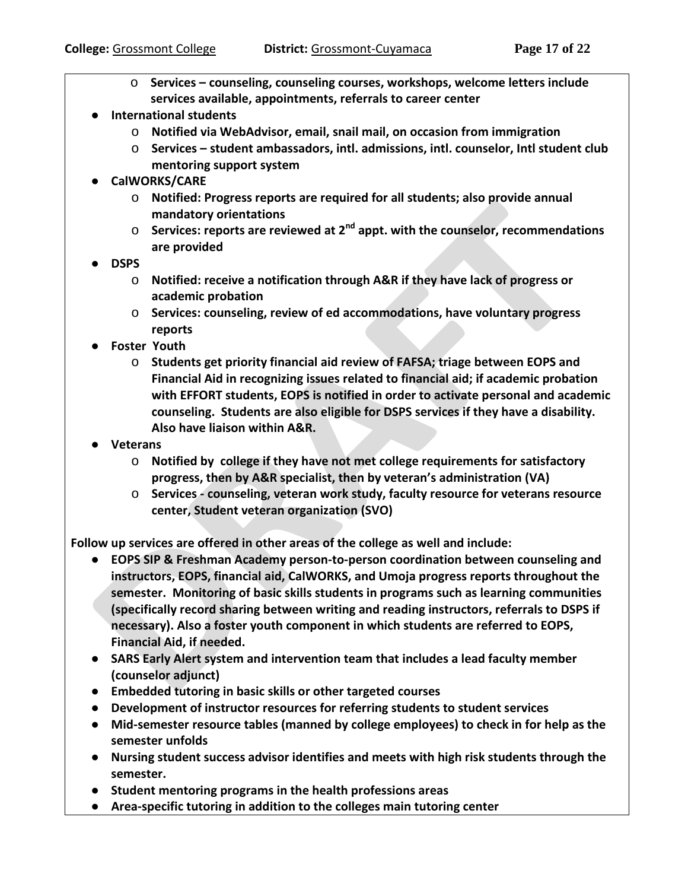- o **Services – counseling, counseling courses, workshops, welcome letters include services available, appointments, referrals to career center**
- **International students**
	- o **Notified via WebAdvisor, email, snail mail, on occasion from immigration**
	- o **Services – student ambassadors, intl. admissions, intl. counselor, Intl student club mentoring support system**
- **CalWORKS/CARE**
	- o **Notified: Progress reports are required for all students; also provide annual mandatory orientations**
	- o **Services: reports are reviewed at 2nd appt. with the counselor, recommendations are provided**
- **DSPS**
	- o **Notified: receive a notification through A&R if they have lack of progress or academic probation**
	- o **Services: counseling, review of ed accommodations, have voluntary progress reports**
- **Foster Youth**
	- o **Students get priority financial aid review of FAFSA; triage between EOPS and Financial Aid in recognizing issues related to financial aid; if academic probation with EFFORT students, EOPS is notified in order to activate personal and academic counseling. Students are also eligible for DSPS services if they have a disability. Also have liaison within A&R.**
- **Veterans** 
	- o **Notified by college if they have not met college requirements for satisfactory progress, then by A&R specialist, then by veteran's administration (VA)**
	- o **Services - counseling, veteran work study, faculty resource for veterans resource center, Student veteran organization (SVO)**

**Follow up services are offered in other areas of the college as well and include:**

- **EOPS SIP & Freshman Academy person-to-person coordination between counseling and instructors, EOPS, financial aid, CalWORKS, and Umoja progress reports throughout the semester. Monitoring of basic skills students in programs such as learning communities (specifically record sharing between writing and reading instructors, referrals to DSPS if necessary). Also a foster youth component in which students are referred to EOPS, Financial Aid, if needed.**
- **SARS Early Alert system and intervention team that includes a lead faculty member (counselor adjunct)**
- **Embedded tutoring in basic skills or other targeted courses**
- **Development of instructor resources for referring students to student services**
- **Mid-semester resource tables (manned by college employees) to check in for help as the semester unfolds**
- **Nursing student success advisor identifies and meets with high risk students through the semester.**
- **Student mentoring programs in the health professions areas**
- **Area-specific tutoring in addition to the colleges main tutoring center**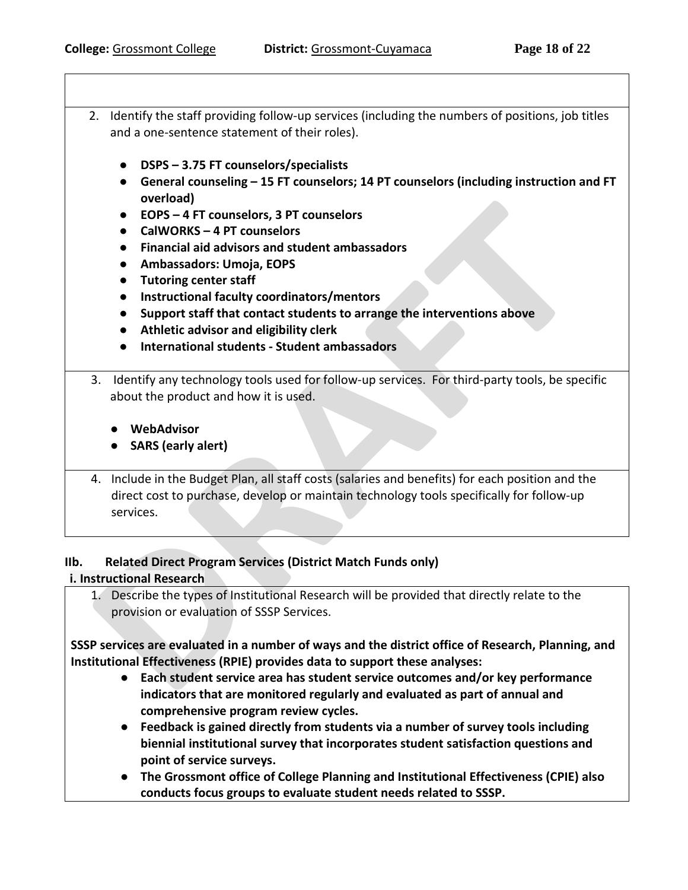- 2. Identify the staff providing follow-up services (including the numbers of positions, job titles and a one-sentence statement of their roles).
	- **DSPS – 3.75 FT counselors/specialists**
	- **General counseling – 15 FT counselors; 14 PT counselors (including instruction and FT overload)**
	- **EOPS – 4 FT counselors, 3 PT counselors**
	- **CalWORKS – 4 PT counselors**
	- **Financial aid advisors and student ambassadors**
	- **Ambassadors: Umoja, EOPS**
	- **Tutoring center staff**
	- **Instructional faculty coordinators/mentors**
	- **Support staff that contact students to arrange the interventions above**
	- **Athletic advisor and eligibility clerk**
	- **International students - Student ambassadors**
- 3. Identify any technology tools used for follow-up services. For third-party tools, be specific about the product and how it is used.
	- **WebAdvisor**
	- **SARS (early alert)**
- 4. Include in the Budget Plan, all staff costs (salaries and benefits) for each position and the direct cost to purchase, develop or maintain technology tools specifically for follow-up services.

#### **IIb. Related Direct Program Services (District Match Funds only)**

#### **i. Instructional Research**

1. Describe the types of Institutional Research will be provided that directly relate to the provision or evaluation of SSSP Services.

**SSSP services are evaluated in a number of ways and the district office of Research, Planning, and Institutional Effectiveness (RPIE) provides data to support these analyses:**

- **Each student service area has student service outcomes and/or key performance indicators that are monitored regularly and evaluated as part of annual and comprehensive program review cycles.**
- **Feedback is gained directly from students via a number of survey tools including biennial institutional survey that incorporates student satisfaction questions and point of service surveys.**
- **The Grossmont office of College Planning and Institutional Effectiveness (CPIE) also conducts focus groups to evaluate student needs related to SSSP.**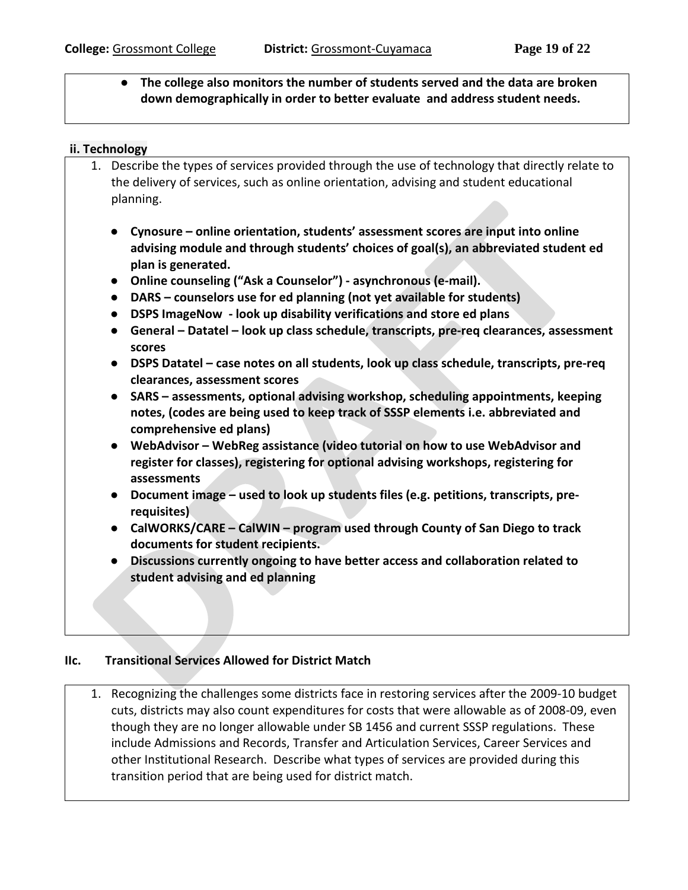### ● **The college also monitors the number of students served and the data are broken down demographically in order to better evaluate and address student needs.**

#### **ii. Technology**

- 1. Describe the types of services provided through the use of technology that directly relate to the delivery of services, such as online orientation, advising and student educational planning.
	- **Cynosure – online orientation, students' assessment scores are input into online advising module and through students' choices of goal(s), an abbreviated student ed plan is generated.**
	- **Online counseling ("Ask a Counselor") - asynchronous (e-mail).**
	- **DARS – counselors use for ed planning (not yet available for students)**
	- **DSPS ImageNow - look up disability verifications and store ed plans**
	- **General – Datatel – look up class schedule, transcripts, pre-req clearances, assessment scores**
	- **DSPS Datatel – case notes on all students, look up class schedule, transcripts, pre-req clearances, assessment scores**
	- **SARS – assessments, optional advising workshop, scheduling appointments, keeping notes, (codes are being used to keep track of SSSP elements i.e. abbreviated and comprehensive ed plans)**
	- **WebAdvisor – WebReg assistance (video tutorial on how to use WebAdvisor and register for classes), registering for optional advising workshops, registering for assessments**
	- **Document image – used to look up students files (e.g. petitions, transcripts, prerequisites)**
	- **CalWORKS/CARE – CalWIN – program used through County of San Diego to track documents for student recipients.**
	- **Discussions currently ongoing to have better access and collaboration related to student advising and ed planning**

#### **IIc. Transitional Services Allowed for District Match**

1. Recognizing the challenges some districts face in restoring services after the 2009-10 budget cuts, districts may also count expenditures for costs that were allowable as of 2008-09, even though they are no longer allowable under SB 1456 and current SSSP regulations. These include Admissions and Records, Transfer and Articulation Services, Career Services and other Institutional Research. Describe what types of services are provided during this transition period that are being used for district match.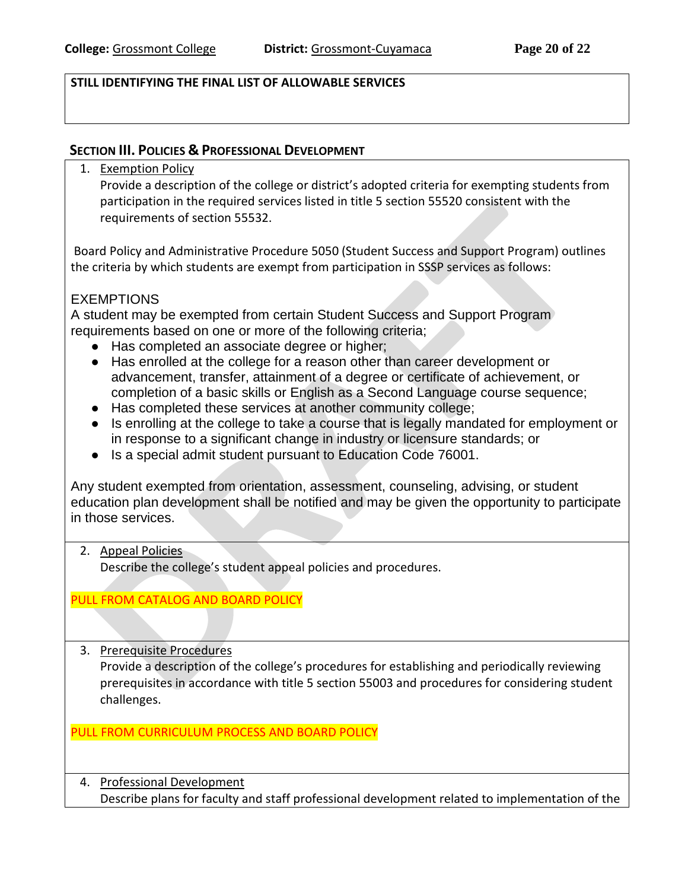### **STILL IDENTIFYING THE FINAL LIST OF ALLOWABLE SERVICES**

#### **SECTION III. POLICIES & PROFESSIONAL DEVELOPMENT**

1. Exemption Policy

Provide a description of the college or district's adopted criteria for exempting students from participation in the required services listed in title 5 section 55520 consistent with the requirements of section 55532.

Board Policy and Administrative Procedure 5050 (Student Success and Support Program) outlines the criteria by which students are exempt from participation in SSSP services as follows:

### **EXEMPTIONS**

A student may be exempted from certain Student Success and Support Program requirements based on one or more of the following criteria;

- Has completed an associate degree or higher;
- Has enrolled at the college for a reason other than career development or advancement, transfer, attainment of a degree or certificate of achievement, or completion of a basic skills or English as a Second Language course sequence;
- Has completed these services at another community college;
- Is enrolling at the college to take a course that is legally mandated for employment or in response to a significant change in industry or licensure standards; or
- Is a special admit student pursuant to Education Code 76001.

Any student exempted from orientation, assessment, counseling, advising, or student education plan development shall be notified and may be given the opportunity to participate in those services.

#### 2. Appeal Policies

Describe the college's student appeal policies and procedures.

#### PULL FROM CATALOG AND BOARD POLICY

3. Prerequisite Procedures

Provide a description of the college's procedures for establishing and periodically reviewing prerequisites in accordance with title 5 section 55003 and procedures for considering student challenges.

#### PULL FROM CURRICULUM PROCESS AND BOARD POLICY

4. Professional Development Describe plans for faculty and staff professional development related to implementation of the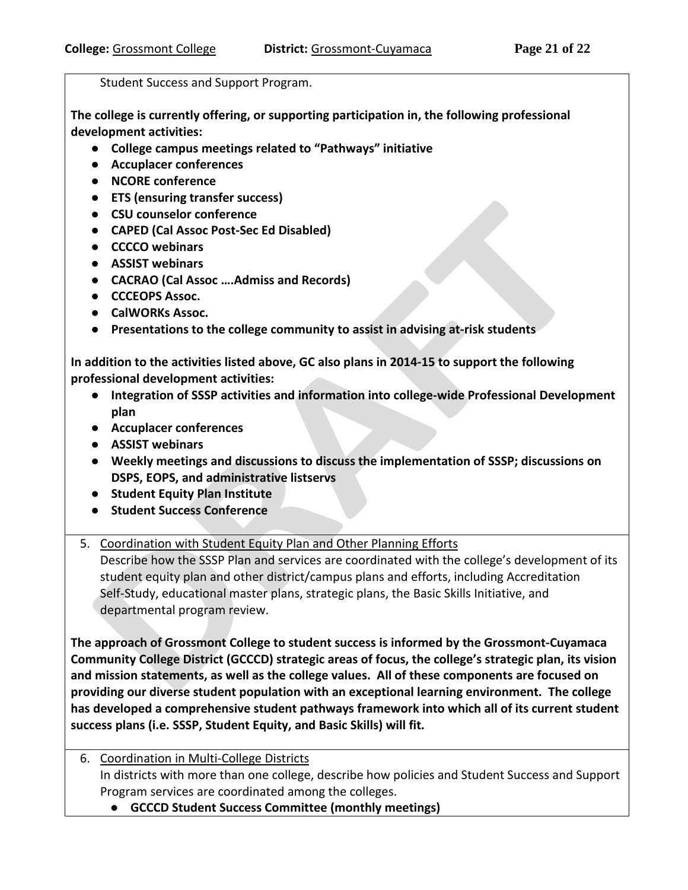Student Success and Support Program.

**The college is currently offering, or supporting participation in, the following professional development activities:**

- **College campus meetings related to "Pathways" initiative**
- **Accuplacer conferences**
- **NCORE conference**
- **ETS (ensuring transfer success)**
- **CSU counselor conference**
- **CAPED (Cal Assoc Post-Sec Ed Disabled)**
- **CCCCO webinars**
- **ASSIST webinars**
- **CACRAO (Cal Assoc ….Admiss and Records)**
- **CCCEOPS Assoc.**
- **CalWORKs Assoc.**
- **Presentations to the college community to assist in advising at-risk students**

**In addition to the activities listed above, GC also plans in 2014-15 to support the following professional development activities:**

- **Integration of SSSP activities and information into college-wide Professional Development plan**
- **Accuplacer conferences**
- **ASSIST webinars**
- **Weekly meetings and discussions to discuss the implementation of SSSP; discussions on DSPS, EOPS, and administrative listservs**
- **Student Equity Plan Institute**
- **Student Success Conference**

### 5. Coordination with Student Equity Plan and Other Planning Efforts

Describe how the SSSP Plan and services are coordinated with the college's development of its student equity plan and other district/campus plans and efforts, including Accreditation Self-Study, educational master plans, strategic plans, the Basic Skills Initiative, and departmental program review.

**The approach of Grossmont College to student success is informed by the Grossmont-Cuyamaca Community College District (GCCCD) strategic areas of focus, the college's strategic plan, its vision and mission statements, as well as the college values. All of these components are focused on providing our diverse student population with an exceptional learning environment. The college has developed a comprehensive student pathways framework into which all of its current student success plans (i.e. SSSP, Student Equity, and Basic Skills) will fit.** 

- 6. Coordination in Multi-College Districts In districts with more than one college, describe how policies and Student Success and Support Program services are coordinated among the colleges.
	- **GCCCD Student Success Committee (monthly meetings)**